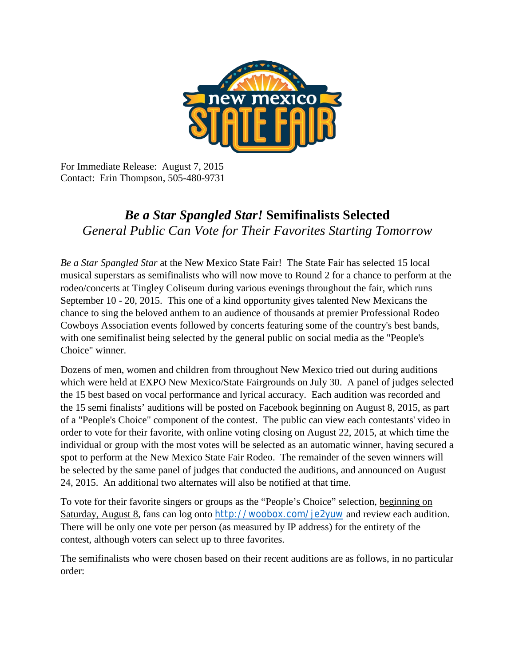

For Immediate Release: August 7, 2015 Contact: Erin Thompson, 505-480-9731

## *Be a Star Spangled Star!* **Semifinalists Selected**  *General Public Can Vote for Their Favorites Starting Tomorrow*

*Be a Star Spangled Star* at the New Mexico State Fair! The State Fair has selected 15 local musical superstars as semifinalists who will now move to Round 2 for a chance to perform at the rodeo/concerts at Tingley Coliseum during various evenings throughout the fair, which runs September 10 - 20, 2015. This one of a kind opportunity gives talented New Mexicans the chance to sing the beloved anthem to an audience of thousands at premier Professional Rodeo Cowboys Association events followed by concerts featuring some of the country's best bands, with one semifinalist being selected by the general public on social media as the "People's Choice" winner.

Dozens of men, women and children from throughout New Mexico tried out during auditions which were held at EXPO New Mexico/State Fairgrounds on July 30. A panel of judges selected the 15 best based on vocal performance and lyrical accuracy. Each audition was recorded and the 15 semi finalists' auditions will be posted on Facebook beginning on August 8, 2015, as part of a "People's Choice" component of the contest. The public can view each contestants' video in order to vote for their favorite, with online voting closing on August 22, 2015, at which time the individual or group with the most votes will be selected as an automatic winner, having secured a spot to perform at the New Mexico State Fair Rodeo. The remainder of the seven winners will be selected by the same panel of judges that conducted the auditions, and announced on August 24, 2015. An additional two alternates will also be notified at that time.

To vote for their favorite singers or groups as the "People's Choice" selection, beginning on Saturday, August 8, fans can log onto <http://woobox.com/je2yuw> and review each audition. There will be only one vote per person (as measured by IP address) for the entirety of the contest, although voters can select up to three favorites.

The semifinalists who were chosen based on their recent auditions are as follows, in no particular order: